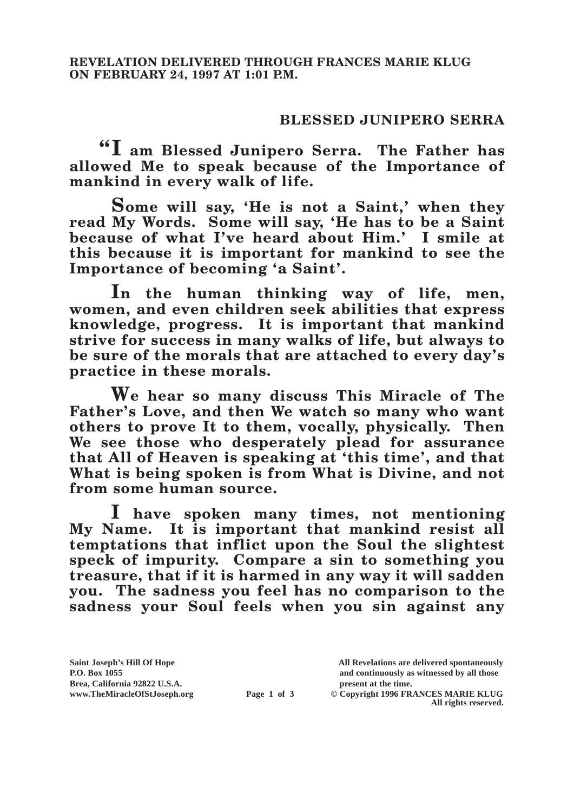## **BLESSED JUNIPERO SERRA**

**"I am Blessed Junipero Serra. The Father has allowed Me to speak because of the Importance of mankind in every walk of life.**

**Some will say, 'He is not a Saint,' when they read My Words. Some will say, 'He has to be a Saint because of what I've heard about Him.' I smile at this because it is important for mankind to see the Importance of becoming 'a Saint'.**

**In the human thinking way of life, men, women, and even children seek abilities that express knowledge, progress. It is important that mankind strive for success in many walks of life, but always to be sure of the morals that are attached to every day's practice in these morals.**

**We hear so many discuss This Miracle of The Father's Love, and then We watch so many who want others to prove It to them, vocally, physically. Then We see those who desperately plead for assurance that All of Heaven is speaking at 'this time', and that What is being spoken is from What is Divine, and not from some human source.**

**I have spoken many times, not mentioning My Name. It is important that mankind resist all temptations that inflict upon the Soul the slightest speck of impurity. Compare a sin to something you treasure, that if it is harmed in any way it will sadden you. The sadness you feel has no comparison to the sadness your Soul feels when you sin against any** 

**Brea, California 92822 U.S.A. present at the time.**<br> **Page 1 of 3** © Copyright 1996 FR.

**Saint Joseph's Hill Of Hope All Revelations are delivered spontaneously P.O. Box 1055 and continuously as witnessed by all those** 

**Page 1 of 3** © Copyright 1996 FRANCES MARIE KLUG **All rights reserved.**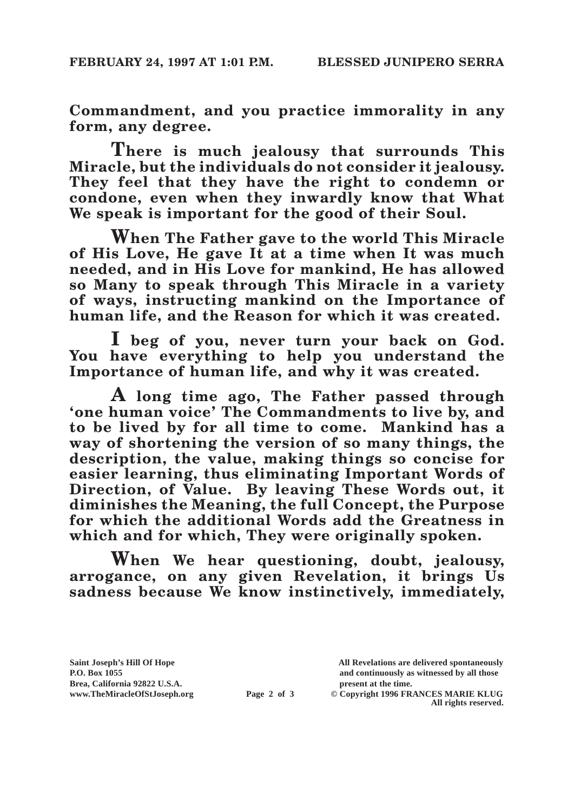**Commandment, and you practice immorality in any form, any degree.**

**There is much jealousy that surrounds This Miracle, but the individuals do not consider it jealousy. They feel that they have the right to condemn or condone, even when they inwardly know that What We speak is important for the good of their Soul.**

**When The Father gave to the world This Miracle of His Love, He gave It at a time when It was much needed, and in His Love for mankind, He has allowed so Many to speak through This Miracle in a variety of ways, instructing mankind on the Importance of human life, and the Reason for which it was created.**

**I beg of you, never turn your back on God. You have everything to help you understand the Importance of human life, and why it was created.**

**A long time ago, The Father passed through 'one human voice' The Commandments to live by, and to be lived by for all time to come. Mankind has a way of shortening the version of so many things, the description, the value, making things so concise for easier learning, thus eliminating Important Words of Direction, of Value. By leaving These Words out, it diminishes the Meaning, the full Concept, the Purpose for which the additional Words add the Greatness in which and for which, They were originally spoken.**

**When We hear questioning, doubt, jealousy, arrogance, on any given Revelation, it brings Us sadness because We know instinctively, immediately,** 

Brea, California 92822 U.S.A.<br>
www.TheMiracleOfStJoseph.org<br> **Page 2 of 3** © Copyright 1996 FR.

**Saint Joseph's Hill Of Hope All Revelations are delivered spontaneously P.O. Box 1055 and continuously as witnessed by all those** 

**Page 2 of 3** © Copyright 1996 FRANCES MARIE KLUG **All rights reserved.**